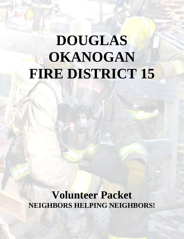# **DOUGLAS OKANOGAN FIRE DISTRICT 15**

**Volunteer Packet NEIGHBORS HELPING NEIGHBORS!**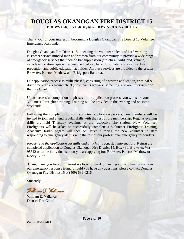Thank you for your interest in becoming a Douglas Okanogan Fire District 15 Volunteer Emergency Responder.

Douglas Okanogan Fire District 15 is seeking the volunteer talents of hard working customer service minded men and women from our community to provide a wide range of emergency services that include fire suppression (structural, wild land, vehicle); vehicle extrication, special rescue, medical aid, hazardous materials response, fire prevention and public education activities. All these services are provided to the greater Brewster, Pateros, Methow and Bridgeport Bar area.

Our application process is multi-phased, consisting of a written application, criminal  $\&$ driver record background check, physician's wellness screening, and oral interview with the Fire Chief.

Upon successful completion all phases of the application process, you will start your Volunteer Firefighter training. Training will be provided in the evening and on some weekends.

Following the completion of your volunteer application process, new members will be invited to join and attend regular drills with the rest of the membership. Regular evening drills are held Thursday evenings at the respective fire station. New Volunteer Firefighters will be asked to successfully complete a Volunteer Firefighter Training Academy. Radio pagers will then be issued allowing the new volunteer to start responding to emergency alarms with the rest of our professional emergency responders.

*Please read the application carefully and attach all requested information.* Return the completed application to Douglas Okanogan Fire District 15, Box 490, Brewster, Wa 98812 or to the individual station you are applying for: Brewster, Pateros, Methow or Rocky Butte

Again, thank you for your interest we look forward to meeting you and having you join our emergency response team. Should you have any questions, please contact Douglas Okanogan Fire District 15 at (509) 689-0216.

Sincerely,

*William E. Vallance* 

William E. Vallance District Fire Chief

*Revised 06/16/2013*

Page **2** of **10**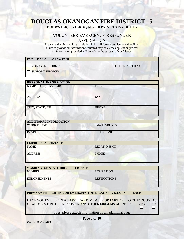### VOLUNTEER EMERGENCY RESPONDER APPLICATION

Please read all instructions carefully. Fill in all forms completely and legibly. Failure to provide all information requested may delay the application process. All information provided will be held in the strictest of confidence.

| <b>POSITION APPLYING FOR</b> |                        |
|------------------------------|------------------------|
| VOLUNTEER FIREFIGHTER        | <b>OTHER (SPECIFY)</b> |
| $\Box$ SUPPORT SERVICES      |                        |
|                              |                        |

| PERSONAL INFORMATION   |              |
|------------------------|--------------|
| NAME (LAST, FIRST, MI) | <b>DOB</b>   |
| <b>ADDRESS</b>         | <b>SSN</b>   |
| CITY, STATE, ZIP       | <b>PHONE</b> |

| <b>ADDITIONAL INFORMATION</b> |                      |
|-------------------------------|----------------------|
| <b>WORK PHONE</b>             | <b>EMAIL ADDRESS</b> |
| <b>PAGER</b>                  | <b>CELL PHONE</b>    |

| <b>EMERGENCY CONTACT</b> |                     |
|--------------------------|---------------------|
| <b>NAME</b>              | <b>RELATIONSHIP</b> |
| <b>ADDRESS</b>           | <b>PHONE</b>        |

| <b>WASHINGTON STATE DRIVER'S LICENSE</b> |                     |
|------------------------------------------|---------------------|
| <b>NUMBER</b>                            | <b>EXPIRATION</b>   |
|                                          |                     |
| <b>ENDORSEMENTS</b>                      | <b>RESTRICTIONS</b> |
|                                          |                     |
|                                          |                     |

#### **PREVIOUS FIRFIGHTING OR EMERGENCY MEDICAL SERVICES EXPERIENCE**

HAVE YOU EVER BEEN AN APPLICANT, MEMBER OR EMPLOYEE OF THE DOUGLAS OKANOGAN FIRE DISTRICT 15 OR ANY OTHER FIRE/EMS AGENCY? YES NO

If yes, please attach information on an additional page.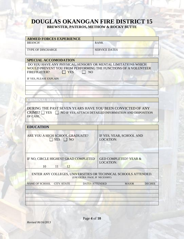# **DOUGLAS OKANOGAN FIRE DISTRICT 15**

**BREWSTER, PATEROS, METHOW & ROCKY BUTTE**

| <b>ARMED FORCES EXPERIENCE</b>                                                               |                                                                                                  |
|----------------------------------------------------------------------------------------------|--------------------------------------------------------------------------------------------------|
| <b>BRANCH</b>                                                                                | <b>RANK</b>                                                                                      |
| <b>TYPE OF DISCHARGE</b>                                                                     | <b>SERVICE DATES</b>                                                                             |
|                                                                                              |                                                                                                  |
| <b>SPECIAL ACCOMODATION</b><br>DO YOU HAVE ANY PHYSICAL, SENSORY OR MENTAL LIMITATIONS WHICH |                                                                                                  |
|                                                                                              | WOULD PREVENT YOU FROM PERFORMING THE FUNCTIONS OF A VOLUNTEER                                   |
| <b>FIREFIGHTER?</b><br><b>YES</b>                                                            | <b>NO</b>                                                                                        |
|                                                                                              |                                                                                                  |
| IF YES, PLEASE EXPLAIN                                                                       |                                                                                                  |
|                                                                                              |                                                                                                  |
|                                                                                              |                                                                                                  |
|                                                                                              |                                                                                                  |
|                                                                                              |                                                                                                  |
|                                                                                              |                                                                                                  |
|                                                                                              | DURING THE PAST SEVEN YEARS HAVE YOU BEEN CONVICTED OF ANY                                       |
| OF CASE.                                                                                     | $CRIME? \Box Yes \Box NO IFYES, ATTACH DETAILED INFORMATION AND DISPOSITION$                     |
| <b>EDUCATION</b>                                                                             |                                                                                                  |
| ARE YOU A HIGH SCHOOL GRADUATE?<br><b>YES</b><br>NO <sub>1</sub>                             | IF YES, YEAR, SCHOOL AND<br><b>LOCATION:</b>                                                     |
| IF NO, CIRCLE HIGHEST GRAD COMPLETED                                                         | <b>GED COMPLETED? YEAR &amp;</b>                                                                 |
|                                                                                              | <b>LOCATION:</b>                                                                                 |
| 10<br>11<br>12                                                                               |                                                                                                  |
|                                                                                              | ENTER ANY COLLEGES, UNIVERSITIES OR TECHNICAL SCHOOLS ATTENDED.<br>(USE EXTRA PAGE, IF NECESSRY) |
| <b>NAME OF SCHOOL</b><br><b>CITY/STATE</b>                                                   | <b>DATES ATTENDED</b><br><b>MAJOR</b><br><b>DEGREE</b>                                           |
|                                                                                              |                                                                                                  |
|                                                                                              |                                                                                                  |

Page **4** of **10**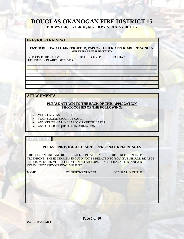# **DOUGLAS OKANOGAN FIRE DISTRICT 15**

**BREWSTER, PATEROS, METHOW & ROCKY BUTTE**

#### **PREVIOUS TRAINING**

**ENTER BELOW ALL FIREFIGHTER, EMS OR OTHER APPLICABLE TRAINING. (USE EXTRA PAGE, IF NECESSRY)**

TYPE OF CERTIFICATION DATE RECEIVED EXPIRATION JURISDICTION IN WHICH RECEIVED

#### **ATTACHMENTS**

#### **PLEASE ATTACH TO THE BACK OF THIS APPLICATION PHOTOCOPIES OF THE FOLLOWING:**

- YOUR DRIVERS LICENSE
- YOUR SOCIAL SECURITY CARD
- ANY CERTIFICATION CARDS OR CERTIFICATES
- ANY OTHER REQUESTED INFORMATION

#### **REFERENCE**

#### **PLEASE PROVIDE AT LEAST 3 PERSONAL REFERENCES**

THE CHELAN FIRE AND RESCUE WILL CONTACT EACH OF THESE REFERANCES BY TELEPHONE. THESE PERSONS SHOULD NOT BE RELATED TO YOU, BUT SHOULD BE ABLE TO COMMENT ON YOUR EDUCATION, WORK EXPERIENCE, CHARACTER, AND/OR COMMUNITY SERVICE INVOLVEMENT.

| <b>NAME</b> | <b>TELEPHONE NUNBER</b> | <b>OCCUPATION/TITLE</b> |
|-------------|-------------------------|-------------------------|
|             |                         |                         |
|             |                         |                         |
|             |                         |                         |

Page **5** of **10**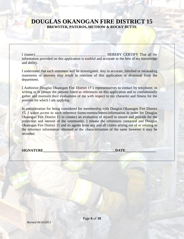I (name): The example of the example of the HEREBY CERTIFY That all the example of the example of the example of the example of the example of the example of the example of the example of the example of the example of the information provided on this application is truthful and accurate to the best of my knowledge and ability.

I understand that each statement will be investigated. Any in accurate, falsified or misleading statements or answers may result in rejection of this application or dismissal from the department.

I Authorize Douglas Okanogan Fire District 15's representatives to contact by telephone, in writing or in person the persons listed as references on this application and to confidentially gather and maintain their evaluations of me with respect to my character and fitness for the position for which I am applying.

In consideration for being considered for membership with Douglas Okanogan Fire District 15, I waive access to such reference forms/memos/letters/information in order for Douglas Okanogan Fire District 15 to conduct an evaluation of myself to ensure and provide for the protection and interest of the community. I release the references contacted and Douglas Okanogan Fire District 15 and its agents from any and all claims arising out of or relating to the reference information obtained or the characterization of the same however it may be recorded.

**SIGNATURE** DATE

Page **6** of **10**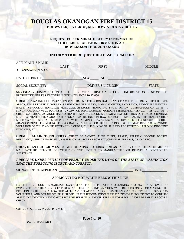#### **REQUEST FOR CRIMINAL HISTORY INFORMATION CHILD/ADULT ABUSE INFORMATION ACT RCW 43.43.830 THROUGH 43.43.845**

#### **INFORMATION REQUEST RELEASE FORM FOR:**

| <b>APPLICANT'S NAME</b>   |             |                          |               |
|---------------------------|-------------|--------------------------|---------------|
|                           | <b>LAST</b> | <b>FIRST</b>             | <b>MIDDLE</b> |
| <b>ALIAS/MAIDEN NAME:</b> |             |                          |               |
| DATE OF BIRTH:            |             | RACE:<br>SEX:            |               |
| <b>SOCIAL SECURITY:</b>   |             | <b>DRIVER'S LICENSE#</b> | <b>STATE</b>  |

SECONDARY DISEMINATION OF THIS CRIMINAL HISTORY RECORD INFORMATION RESPONSE IS PROHIBITED UNLESS IN CONPLIANCE WITH RCW 10.97.050.

**CRIMES AGAINST PERSONS**: ENDANGERMENT, COERCION, RAPE, RAPE OF A CHILD, ROBBERY; FIRST DEGREE ARSON, FIRST DEGREE BURGLARY, RESIDENTIAL BURGLARY; MANSLAUGHTER; EXTORTION; INDECENT LIBERTIES; INCEST; VEHICULAR HONICIDE; VEHICULAR ASSAULT; PROMOTING PROSTITUTION; COMMUNICATION WITH A MINOR FOR UNLAWFUL PURPOSES; UNLAWFUL IMPRISONMENT MURDER; KIDNAPPING;ASSAULT; ASSAULT OF A CHILD; CUSTODIAL ASSAULT; HARASSMENT; STALKING, RECKLESS, SEXUAL EXPLOITATION OF MINORS; CRIMINAL MISTREATMENT; CHILD ABUSE OR NEGLECT AS DEFINED IN RCW 26.44.020; CUSTODIAL INTERFERENCE; CHILD MOLESTATION; SEXUAL MISCONDUCT WITH A MINOR; PATRONIZING A JUVENILE PROSTITUTE ; CHILD ABANDONMENT; PROMOTING PORNOGRAPHY; SELLING OR DISTRIBUTING EROTIC MATERIAL TO A MINOR; VIOLATION OF CHILD ABUSE RESTRAINING ORDER; CHILD BUYING OR SELLING; PROSTITUTION; FELONY INDECENT EXPOSURE; ETC.

**CRIMES AGAINST PROPERTY**: THEFT OF MONEY; AUTO THEFT; FRAUD; PERJURY; SECOND DEGREE BURGLARY; VEHICLE PROWLING; POSSESSION OF STOLEN PROPERTY; CRIMINAL TREPASS; ARSON; ETC.

**DRUG-RELATED CRIMES:** CRIMES RELATING TO DRUGS' **MEAN** A CONVICTION OF A CRIME TO MANUFACTURE, DELIVER, OR POSSESSION WITH INTENT TO MANUFACTURE OR DELIVER A CONTROLLED SUBSTANCE.

*I DECLARE UNDER PENALTY OF PERJURY UNDER THE LAWS OF THE STATE OF WASHINGTON THAT THE FOREGOING IS TRUE AND CORRECT.*

SIGNATURE OF APPLICANT\_\_\_\_\_\_\_\_\_\_\_\_\_\_\_\_\_\_\_\_\_\_\_\_\_\_\_\_\_\_\_\_\_\_\_\_\_\_\_\_\_\_\_\_\_DATE\_\_\_\_\_\_\_\_\_\_\_\_\_\_\_

#### **---------------------APPLICANT DO NOT WRITE BELOW THIS LINE------------------------**

I CETIFY THIS REQUEST IS MADE PURSUANT TO AND FOR THE PURPOSE OF OBTAINING INFORMATION ALLOWED TO EMPLOYERS BY THE ABOVE CITED RCW AND THAT THIS INFORMATION WILL BE USED ONLY FOR MAKING THE DECISION TO HIRE OR ALLOW THE APPLICANT TO ACT AS A DOUGLAS OKANOGAN COUNTY FIRE DISTRICT 15 VOLUNTEER, AND FOR NO OTHER PURPOSE. IF THE IINFORMATION SUPPLIED BELOW IS INSUFFIENT TO CONFIRM APPLICANT IDENTITY, APPLICANT'S WILL BE SUPPLIED ANOTHER RELEASE FORM FOR A MORE DETAILED RECORDS **CHECK** 

William E. Vallance, District Fire Chief

 $\sim$  . The set of the set of the set of the set of the set of the set of the set of the set of the set of the set of the set of the set of the set of the set of the set of the set of the set of the set of the set of the s

*Revised 06/16/2013*

Page **7** of **10**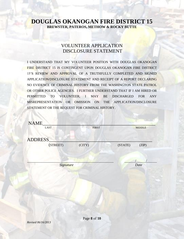# VOLUNTEER APPLICATION DISCLOSURE STATEMENT

I UNDERSTAND THAT MY VOLUNTEER POSITION WITH DOUGLAS OKANOGAN FIRE DISTRICT 15 IS CONTINGENT UPON DOUGLAS OKANOGAN FIRE DISTRICT 15'S REVIEW AND APPROVAL OF A TRUTHFULLY COMPLETED AND SIGNED APPLICATION/DISCLOSURE STATEMENT AND RECEIPT OF A REPORT DECLARING NO EVIDENCE OF CRIMINAL HISTORY FROM THE WASHINGTON STATE PATROL OR OTHER POLICE AGENCIES. I FURTHER UNDERSTAND THAT IF I AM HIRED OR PERMITTED TO VOLUNTEER, I MAY BE DISCHARGED FOR ANY MISREPRESENTATION OR OMISSION ON THE APPLICATION/DISCLOSURE STATEMENT OR THE REQUEST FOR CRIMINAL HISTORY.

| NAME<br><b>LAST</b> | <b>FIRST</b> |         | <b>MIDDLE</b> |
|---------------------|--------------|---------|---------------|
| ADDRESS             |              |         |               |
| (STREET)            | (CITY)       | (STATE) | (ZIP)         |
|                     |              |         |               |
| Signature           |              |         | Date          |
|                     |              |         |               |
|                     |              |         |               |
|                     |              |         |               |

Page **8** of **10**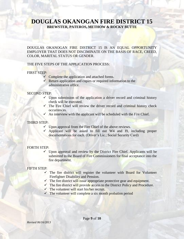DOUGLAS OKANOGAN FIRE DISTRICT 15 IS AN EQUAL OPPORTUNITY EMPLOYER THAT DOES NOT DISCIMINATE ON THE BASIS OF RACE, CREED, COLOR, MARITAL STATUS OR GENDER.

#### THE FIVE STEPS OF THE APPLICATION PROCESS:

#### FIRST STEP:

- $\checkmark$  Complete the application and attached forms.
- $\checkmark$  Return application and copies or required information to the administrative office.

#### SECOND STEP:

- $\checkmark$  Upon submission of the application a driver record and criminal history check will be executed.
- $\checkmark$  The Fire Chief will review the driver record and criminal history check occurrences.
- $\checkmark$  An interview with the applicant will be scheduled with the Fire Chief.

#### THIRD STEP:

- $\checkmark$  Upon approval from the Fire Chief of the above reviews.
- $\checkmark$  Applicant will be asked to fill out W4 and I9, including proper documentations for each. (Driver's Lic.; Social Security Card)

#### FORTH STEP:

 $\checkmark$  Upon approval and review by the District Fire Chief. Applicants will be submitted to the Board of Fire Commissioners for final acceptance into the fire department.

#### FIFTH STEP:

- $\checkmark$  The fire district will register the volunteer with Board for Volunteer Firefighter Disability and Pension.
- $\checkmark$  The fire district will issue appropriate protective gear and equipment.
- $\checkmark$  The fire district will provide access to the District Policy and Procedure.
- $\checkmark$  The volunteer will start his/her recruit.
- $\checkmark$  The volunteer will complete a six month probation period